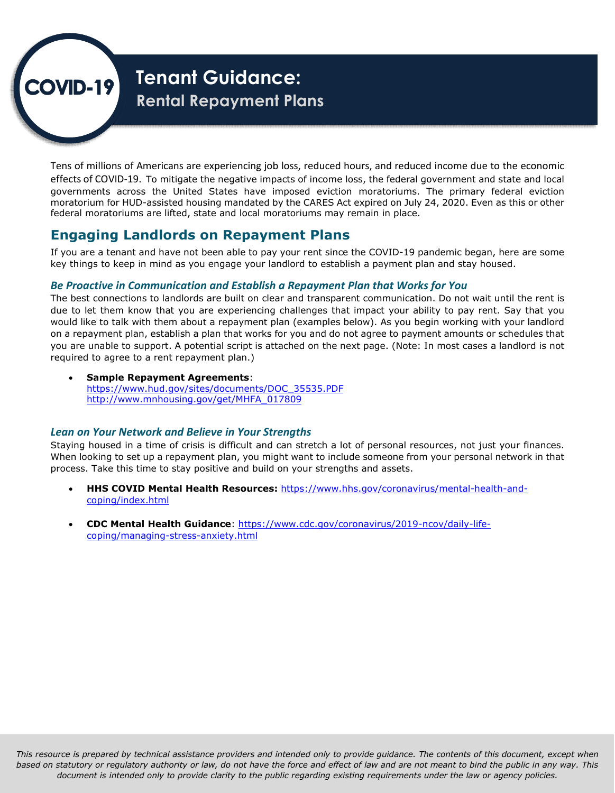

# **Tenant Guidance: Rental Repayment Plans**

Tens of millions of Americans are experiencing job loss, reduced hours, and reduced income due to the economic effects of COVID-19. To mitigate the negative impacts of income loss, the federal government and state and local governments across the United States have imposed eviction moratoriums. The primary federal eviction moratorium for HUD-assisted housing mandated by the CARES Act expired on July 24, 2020. Even as this or other federal moratoriums are lifted, state and local moratoriums may remain in place.

# **Engaging Landlords on Repayment Plans**

If you are a tenant and have not been able to pay your rent since the COVID-19 pandemic began, here are some key things to keep in mind as you engage your landlord to establish a payment plan and stay housed.

## *Be Proactive in Communication and Establish a Repayment Plan that Works for You*

The best connections to landlords are built on clear and transparent communication. Do not wait until the rent is due to let them know that you are experiencing challenges that impact your ability to pay rent. Say that you would like to talk with them about a repayment plan (examples below). As you begin working with your landlord on a repayment plan, establish a plan that works for you and do not agree to payment amounts or schedules that you are unable to support. A potential script is attached on the next page. (Note: In most cases a landlord is not required to agree to a rent repayment plan.)

 **Sample Repayment Agreements**: [https://www.hud.gov/sites/documents/DOC\\_35535.PDF](https://www.hud.gov/sites/documents/DOC_35535.PDF) [http://www.mnhousing.gov/get/MHFA\\_017809](http://www.mnhousing.gov/get/MHFA_017809)

### *Lean on Your Network and Believe in Your Strengths*

Staying housed in a time of crisis is difficult and can stretch a lot of personal resources, not just your finances. When looking to set up a repayment plan, you might want to include someone from your personal network in that process. Take this time to stay positive and build on your strengths and assets.

- **HHS COVID Mental Health Resources:** [https://www.hhs.gov/coronavirus/mental-health-and](https://www.hhs.gov/coronavirus/mental-health-and-coping/index.html)[coping/index.html](https://www.hhs.gov/coronavirus/mental-health-and-coping/index.html)
- **CDC Mental Health Guidance**: [https://www.cdc.gov/coronavirus/2019-ncov/daily-life](about:blank)[coping/managing-stress-anxiety.html](about:blank)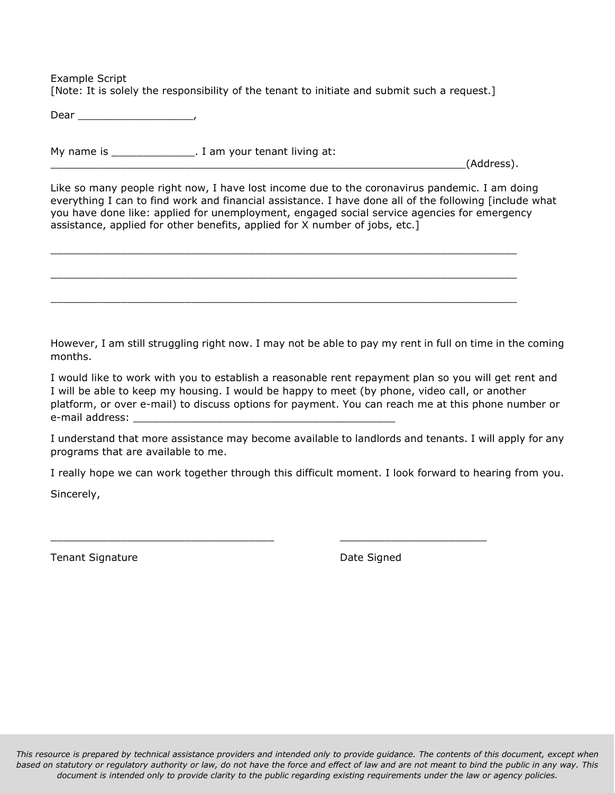Example Script [Note: It is solely the responsibility of the tenant to initiate and submit such a request.]

Dear \_\_\_\_\_\_\_\_\_\_\_\_\_\_\_\_\_\_,

My name is \_\_\_\_\_\_\_\_\_\_\_\_\_\_\_. I am your tenant living at:  $(Address).$ 

 $\_$  , and the set of the set of the set of the set of the set of the set of the set of the set of the set of the set of the set of the set of the set of the set of the set of the set of the set of the set of the set of th

 $\_$  , and the set of the set of the set of the set of the set of the set of the set of the set of the set of the set of the set of the set of the set of the set of the set of the set of the set of the set of the set of th

 $\_$  , and the set of the set of the set of the set of the set of the set of the set of the set of the set of the set of the set of the set of the set of the set of the set of the set of the set of the set of the set of th

Like so many people right now, I have lost income due to the coronavirus pandemic. I am doing everything I can to find work and financial assistance. I have done all of the following [include what you have done like: applied for unemployment, engaged social service agencies for emergency assistance, applied for other benefits, applied for X number of jobs, etc.]

However, I am still struggling right now. I may not be able to pay my rent in full on time in the coming months.

I would like to work with you to establish a reasonable rent repayment plan so you will get rent and I will be able to keep my housing. I would be happy to meet (by phone, video call, or another platform, or over e-mail) to discuss options for payment. You can reach me at this phone number or e-mail address:

I understand that more assistance may become available to landlords and tenants. I will apply for any programs that are available to me.

I really hope we can work together through this difficult moment. I look forward to hearing from you.

\_\_\_\_\_\_\_\_\_\_\_\_\_\_\_\_\_\_\_\_\_\_\_\_\_\_\_\_\_\_\_\_\_\_\_ \_\_\_\_\_\_\_\_\_\_\_\_\_\_\_\_\_\_\_\_\_\_\_

Sincerely,

Tenant Signature **Date Signature Date Signed**